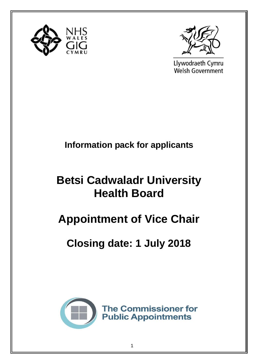



Llywodraeth Cymru **Welsh Government** 

## **Information pack for applicants**

## **Betsi Cadwaladr University Health Board**

# **Appointment of Vice Chair**

## **Closing date: 1 July 2018**

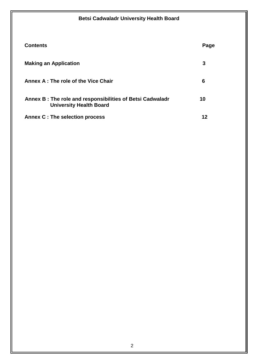| <b>Contents</b>                                                                             | Page |
|---------------------------------------------------------------------------------------------|------|
| <b>Making an Application</b>                                                                | 3    |
| Annex A: The role of the Vice Chair                                                         | 6    |
| Annex B: The role and responsibilities of Betsi Cadwaladr<br><b>University Health Board</b> | 10   |
| Annex C : The selection process                                                             | 12   |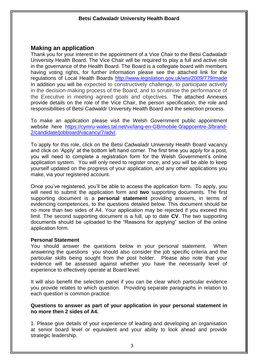#### **Making an application**

Thank you for your interest in the appointment of a Vice Chair to the Betsi Cadwaladr University Health Board. The Vice Chair will be required to play a full and active role in the governance of the Health Board. The Board is a collegiate board with members having voting rights, for further information please see the attached link for the regulations of Local Health Boards<http://www.legislation.gov.uk/wsi/2009/779/made> In addition you will be expected to constructively challenge, to participate actively in the decision-making process of the Board, and to scrutinise the performance of the Executive in meeting agreed goals and objectives. The attached Annexes provide details on the role of the Vice Chair, the person specification, the role and responsibilities of Betsi Cadwaldr University Health Board and the selection process.

To make an application please visit the Welsh Government public appointment website here [https://cymru-wales.tal.net/vx/lang-en-GB/mobile-0/appcentre-3/brand-](https://cymru-wales.tal.net/vx/lang-en-GB/mobile-0/appcentre-3/brand-2/candidate/jobboard/vacancy/7/adv/)[2/candidate/jobboard/vacancy/7/adv/.](https://cymru-wales.tal.net/vx/lang-en-GB/mobile-0/appcentre-3/brand-2/candidate/jobboard/vacancy/7/adv/)

To apply for this role, click on the Betsi Cadwaladr University Health Board vacancy and click on 'Apply' at the bottom left hand corner. The first time you apply for a post, you will need to complete a registration form for the Welsh Government's online application system. You will only need to register once, and you will be able to keep yourself updated on the progress of your application, and any other applications you make, via your registered account.

Once you've registered, you'll be able to access the application form. To apply, you will need to submit the application form and **two** supporting documents. The first supporting document is a **personal statement** providing answers, in terms of evidencing competences, to the questions detailed below. This document should be no more than two sides of A4. Your application may be rejected if you exceed this limit. The second supporting document is a full, up to date **CV**. The two supporting documents should be uploaded to the "Reasons for applying" section of the online application form.

#### **Personal Statement**

You should answer the questions below in your personal statement. When answering the questions you should also consider the job specific criteria and the particular skills being sought from the post holder. Please also note that your evidence will be assessed against whether you have the necessarily level of experience to effectively operate at Board level.

It will also benefit the selection panel if you can be clear which particular evidence you provide relates to which question. Providing separate paragraphs in relation to each question is common practice.

#### **Questions to answer as part of your application in your personal statement in no more then 2 sides of A4.**

1. Please give details of your experience of leading and developing an organisation at senior board level or equivalent and your ability to look ahead and provide strategic leadership.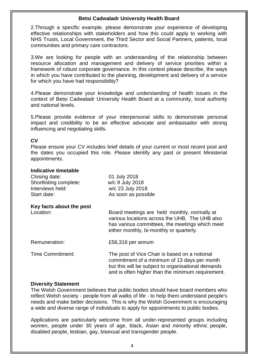2.Through a specific example, please demonstrate your experience of developing effective relationships with stakeholders and how this could apply to working with NHS Trusts, Local Government, the Third Sector and Social Partners, patients, local communities and primary care contractors.

3.We are looking for people with an understanding of the relationship between resource allocation and management and delivery of service priorities within a framework of robust corporate governance. In this context please describe, the ways in which you have contributed to the planning, development and delivery of a service for which you have had responsibility?

4.Please demonstrate your knowledge and understanding of health issues in the context of Betsi Cadwaladr University Health Board at a community, local authority and national levels.

5.Please provide evidence of your interpersonal skills to demonstrate personal impact and credibility to be an effective advocate and ambassador with strong influencing and negotiating skills.

#### **CV**

Please ensure your CV includes brief details of your current or most recent post and the dates you occupied this role. Please identify any past or present Ministerial appointments.

#### **Indicative timetable**

| Closing date:<br>Shortlisting complete:<br>Interviews held:<br>Start date: | 01 July 2018<br>w/c 9 July 2018<br>w/c 23 July 2018<br>As soon as possible                                                                                                                               |
|----------------------------------------------------------------------------|----------------------------------------------------------------------------------------------------------------------------------------------------------------------------------------------------------|
| Key facts about the post                                                   |                                                                                                                                                                                                          |
| Location:                                                                  | Board meetings are held monthly, normally at<br>various locations across the UHB. The UHB also<br>has various committees, the meetings which meet<br>either monthly, bi-monthly or quarterly.            |
| Remuneration:                                                              | £56,316 per annum                                                                                                                                                                                        |
| <b>Time Commitment:</b>                                                    | The post of Vice Chair is based on a notional<br>commitment of a minimum of 13 days per month<br>but this will be subject to organisational demands<br>and is often higher than the minimum requirement. |
|                                                                            |                                                                                                                                                                                                          |

#### **Diversity Statement**

The Welsh Government believes that public bodies should have board members who reflect Welsh society - people from all walks of life - to help them understand people's needs and make better decisions. This is why the Welsh Government is encouraging a wide and diverse range of individuals to apply for appointments to public bodies.

Applications are particularly welcome from all under-represented groups including women, people under 30 years of age, black, Asian and minority ethnic people, disabled people, lesbian, gay, bisexual and transgender people.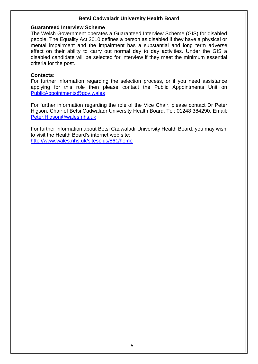#### **Guaranteed Interview Scheme**

The Welsh Government operates a Guaranteed Interview Scheme (GIS) for disabled people. The Equality Act 2010 defines a person as disabled if they have a physical or mental impairment and the impairment has a substantial and long term adverse effect on their ability to carry out normal day to day activities. Under the GIS a disabled candidate will be selected for interview if they meet the minimum essential criteria for the post.

#### **Contacts:**

For further information regarding the selection process, or if you need assistance applying for this role then please contact the Public Appointments Unit on [PublicAppointments@gov.wales](mailto:PublicAppointments@gov.wales)

For further information regarding the role of the Vice Chair, please contact Dr Peter Higson, Chair of Betsi Cadwaladr University Health Board. Tel: 01248 384290. Email: [Peter.Higson@wales.nhs.uk](mailto:Peter.Higson@wales.nhs.uk)

For further information about Betsi Cadwaladr University Health Board, you may wish to visit the Health Board's internet web site: <http://www.wales.nhs.uk/sitesplus/861/home>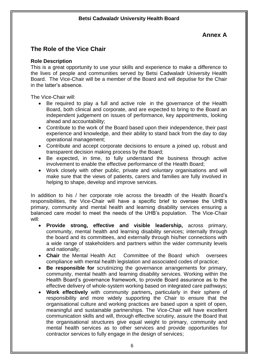### **Annex A**

### **The Role of the Vice Chair**

#### **Role Description**

This is a great opportunity to use your skills and experience to make a difference to the lives of people and communities served by Betsi Cadwaladr University Health Board. The Vice-Chair will be a member of the Board and will deputise for the Chair in the latter's absence.

The Vice-Chair will:

- Be required to play a full and active role in the governance of the Health Board, both clinical and corporate, and are expected to bring to the Board an independent judgement on issues of performance, key appointments, looking ahead and accountability;
- Contribute to the work of the Board based upon their independence, their past experience and knowledge, and their ability to stand back from the day to day operational management;
- Contribute and accept corporate decisions to ensure a joined up, robust and transparent decision making process by the Board;
- Be expected, in time, to fully understand the business through active involvement to enable the effective performance of the Health Board;
- Work closely with other public, private and voluntary organisations and will make sure that the views of patients, carers and families are fully involved in helping to shape, develop and improve services.

In addition to his / her corporate role across the breadth of the Health Board's responsibilities, the Vice-Chair will have a specific brief to oversee the UHB's primary, community and mental health and learning disability services ensuring a balanced care model to meet the needs of the UHB's population. The Vice-Chair will:

- **Provide strong, effective and visible leadership,** across primary, community, mental health and learning disability services; internally through the board and its committees, and externally through his/her connections with a wide range of stakeholders and partners within the wider community levels and nationally;
- **Chair** the Mental Health Act Committee of the Board which oversees compliance with mental health legislation and associated codes of practice;
- **Be responsible for** scrutinizing the governance arrangements for primary, community, mental health and learning disability services. Working within the Health Board's governance framework, to provide Board assurance as to the effective delivery of whole-system working based on integrated care pathways;
- **Work effectively** with community partners**,** particularly in their sphere of responsibility and more widely supporting the Chair to ensure that the organisational culture and working practices are based upon a spirit of open, meaningful and sustainable partnerships. The Vice-Chair will have excellent communication skills and will, through effective scrutiny, assure the Board that the organisational structures give equal weight to primary, community and mental health services as to other services and provide opportunities for contractor services to fully engage in the design of services;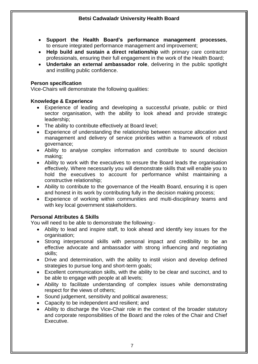- **Support the Health Board's performance management processes**, to ensure integrated performance management and improvement;
- **Help build and sustain a direct relationship** with primary care contractor professionals, ensuring their full engagement in the work of the Health Board;
- **Undertake an external ambassador role**, delivering in the public spotlight and instilling public confidence.

#### **Person specification**

Vice-Chairs will demonstrate the following qualities:

#### **Knowledge & Experience**

- Experience of leading and developing a successful private, public or third sector organisation, with the ability to look ahead and provide strategic leadership;
- The ability to contribute effectively at Board level;
- Experience of understanding the relationship between resource allocation and management and delivery of service priorities within a framework of robust governance;
- Ability to analyse complex information and contribute to sound decision making;
- Ability to work with the executives to ensure the Board leads the organisation effectively. Where necessarily you will demonstrate skills that will enable you to hold the executives to account for performance whilst maintaining a constructive relationship;
- Ability to contribute to the governance of the Health Board, ensuring it is open and honest in its work by contributing fully in the decision making process;
- Experience of working within communities and multi-disciplinary teams and with key local government stakeholders.

#### **Personal Attributes & Skills**

You will need to be able to demonstrate the following:-

- Ability to lead and inspire staff, to look ahead and identify key issues for the organisation;
- Strong interpersonal skills with personal impact and credibility to be an effective advocate and ambassador with strong influencing and negotiating skills;
- Drive and determination, with the ability to instil vision and develop defined strategies to pursue long and short-term goals;
- Excellent communication skills, with the ability to be clear and succinct, and to be able to engage with people at all levels;
- Ability to facilitate understanding of complex issues while demonstrating respect for the views of others;
- Sound judgement, sensitivity and political awareness;
- Capacity to be independent and resilient; and
- Ability to discharge the Vice-Chair role in the context of the broader statutory and corporate responsibilities of the Board and the roles of the Chair and Chief Executive.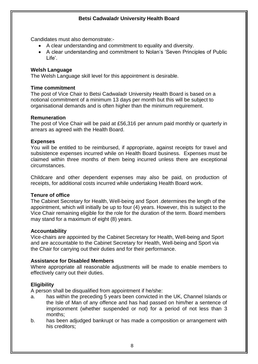Candidates must also demonstrate:-

- A clear understanding and commitment to equality and diversity.
- A clear understanding and commitment to Nolan's 'Seven Principles of Public Life'.

#### **Welsh Language**

The Welsh Language skill level for this appointment is desirable.

#### **Time commitment**

The post of Vice Chair to Betsi Cadwaladr University Health Board is based on a notional commitment of a minimum 13 days per month but this will be subject to organisational demands and is often higher than the minimum requirement.

#### **Remuneration**

The post of Vice Chair will be paid at £56,316 per annum paid monthly or quarterly in arrears as agreed with the Health Board.

#### **Expenses**

You will be entitled to be reimbursed, if appropriate, against receipts for travel and subsistence expenses incurred while on Health Board business. Expenses must be claimed within three months of them being incurred unless there are exceptional circumstances.

Childcare and other dependent expenses may also be paid, on production of receipts, for additional costs incurred while undertaking Health Board work.

#### **Tenure of office**

The Cabinet Secretary for Health, Well-being and Sport .determines the length of the appointment, which will initially be up to four (4) years. However, this is subject to the Vice Chair remaining eligible for the role for the duration of the term. Board members may stand for a maximum of eight (8) years.

#### **Accountability**

Vice-chairs are appointed by the Cabinet Secretary for Health, Well-being and Sport and are accountable to the Cabinet Secretary for Health, Well-being and Sport via the Chair for carrying out their duties and for their performance.

#### **Assistance for Disabled Members**

Where appropriate all reasonable adjustments will be made to enable members to effectively carry out their duties.

#### **Eligibility**

A person shall be disqualified from appointment if he/she:

- a. has within the preceding 5 years been convicted in the UK, Channel Islands or the Isle of Man of any offence and has had passed on him/her a sentence of imprisonment (whether suspended or not) for a period of not less than 3 months;
- b. has been adjudged bankrupt or has made a composition or arrangement with his creditors;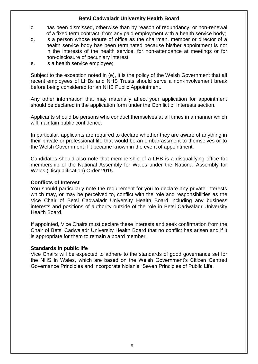- c. has been dismissed, otherwise than by reason of redundancy, or non-renewal of a fixed term contract, from any paid employment with a health service body;
- d. is a person whose tenure of office as the chairman, member or director of a health service body has been terminated because his/her appointment is not in the interests of the health service, for non-attendance at meetings or for non-disclosure of pecuniary interest;
- e. is a health service employee;

Subject to the exception noted in (e), it is the policy of the Welsh Government that all recent employees of LHBs and NHS Trusts should serve a non-involvement break before being considered for an NHS Public Appointment.

Any other information that may materially affect your application for appointment should be declared in the application form under the Conflict of Interests section.

Applicants should be persons who conduct themselves at all times in a manner which will maintain public confidence.

In particular, applicants are required to declare whether they are aware of anything in their private or professional life that would be an embarrassment to themselves or to the Welsh Government if it became known in the event of appointment.

Candidates should also note that membership of a LHB is a disqualifying office for membership of the National Assembly for Wales under the National Assembly for Wales (Disqualification) Order 2015.

#### **Conflicts of Interest**

You should particularly note the requirement for you to declare any private interests which may, or may be perceived to, conflict with the role and responsibilities as the Vice Chair of Betsi Cadwaladr University Health Board including any business interests and positions of authority outside of the role in Betsi Cadwaladr University Health Board.

If appointed, Vice Chairs must declare these interests and seek confirmation from the Chair of Betsi Cadwaladr University Health Board that no conflict has arisen and if it is appropriate for them to remain a board member.

#### **Standards in public life**

Vice Chairs will be expected to adhere to the standards of good governance set for the NHS in Wales, which are based on the Welsh Government's Citizen Centred Governance Principles and incorporate Nolan's "Seven Principles of Public Life.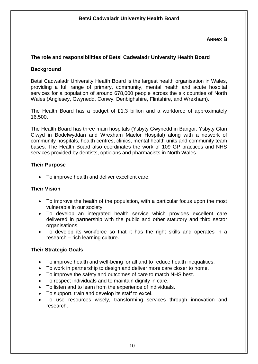#### **ANNex B**

#### **The role and responsibilities of Betsi Cadwaladr University Health Board**

#### **Background**

Betsi Cadwaladr University Health Board is the largest health organisation in Wales, providing a full range of primary, community, mental health and acute hospital services for a population of around 678,000 people across the six counties of North Wales (Anglesey, Gwynedd, Conwy, Denbighshire, Flintshire, and Wrexham).

The Health Board has a budget of £1.3 billion and a workforce of approximately 16,500.

The Health Board has three main hospitals (Ysbyty Gwynedd in Bangor, Ysbyty Glan Clwyd in Bodelwyddan and Wrexham Maelor Hospital) along with a network of community hospitals, health centres, clinics, mental health units and community team bases. The Health Board also coordinates the work of 109 GP practices and NHS services provided by dentists, opticians and pharmacists in North Wales.

#### **Their Purpose**

To improve health and deliver excellent care.

#### **Their Vision**

- To improve the health of the population, with a particular focus upon the most vulnerable in our society.
- To develop an integrated health service which provides excellent care delivered in partnership with the public and other statutory and third sector organisations.
- To develop its workforce so that it has the right skills and operates in a research – rich learning culture.

#### **Their Strategic Goals**

- To improve health and well-being for all and to reduce health inequalities.
- To work in partnership to design and deliver more care closer to home.
- To improve the safety and outcomes of care to match NHS best.
- To respect individuals and to maintain dignity in care.
- To listen and to learn from the experience of individuals.
- To support, train and develop its staff to excel.
- To use resources wisely, transforming services through innovation and research.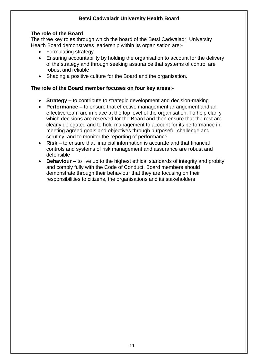#### **The role of the Board**

The three key roles through which the board of the Betsi Cadwaladr University Health Board demonstrates leadership within its organisation are:-

- Formulating strategy.
- Ensuring accountability by holding the organisation to account for the delivery of the strategy and through seeking assurance that systems of control are robust and reliable
- Shaping a positive culture for the Board and the organisation.

#### **The role of the Board member focuses on four key areas:-**

- **Strategy –** to contribute to strategic development and decision-making
- **Performance –** to ensure that effective management arrangement and an effective team are in place at the top level of the organisation. To help clarify which decisions are reserved for the Board and then ensure that the rest are clearly delegated and to hold management to account for its performance in meeting agreed goals and objectives through purposeful challenge and scrutiny, and to monitor the reporting of performance
- **Risk** to ensure that financial information is accurate and that financial controls and systems of risk management and assurance are robust and defensible
- **Behaviour** to live up to the highest ethical standards of integrity and probity and comply fully with the Code of Conduct. Board members should demonstrate through their behaviour that they are focusing on their responsibilities to citizens, the organisations and its stakeholders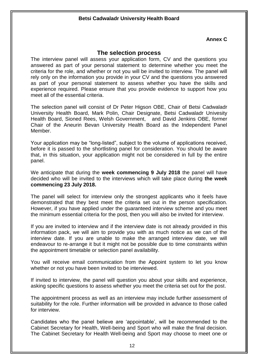#### **Annex C**

#### **The selection process**

The interview panel will assess your application form, CV and the questions you answered as part of your personal statement to determine whether you meet the criteria for the role, and whether or not you will be invited to interview. The panel will rely only on the information you provide in your CV and the questions you answered as part of your personal statement to assess whether you have the skills and experience required. Please ensure that you provide evidence to support how you meet all of the essential criteria.

The selection panel will consist of Dr Peter Higson OBE, Chair of Betsi Cadwaladr University Health Board, Mark Polin, Chair Designate, Betsi Cadwaladr Univesity Health Board, Sioned Rees, Welsh Government, and David Jenkins OBE, former Chair of the Aneurin Bevan University Health Board as the Independent Panel Member.

Your application may be "long-listed", subject to the volume of applications received, before it is passed to the shortlisting panel for consideration. You should be aware that, in this situation, your application might not be considered in full by the entire panel.

We anticipate that during the **week commencing 9 July 2018** the panel will have decided who will be invited to the interviews which will take place during **the week commencing 23 July 2018.** 

The panel will select for interview only the strongest applicants who it feels have demonstrated that they best meet the criteria set out in the person specification. However, if you have applied under the guaranteed interview scheme and you meet the minimum essential criteria for the post, then you will also be invited for interview.

If you are invited to interview and if the interview date is not already provided in this information pack, we will aim to provide you with as much notice as we can of the interview date. If you are unable to make the arranged interview date, we will endeavour to re-arrange it but it might not be possible due to time constraints within the appointment timetable or selection panel availability.

You will receive email communication from the Appoint system to let you know whether or not you have been invited to be interviewed.

If invited to interview, the panel will question you about your skills and experience, asking specific questions to assess whether you meet the criteria set out for the post.

The appointment process as well as an interview may include further assessment of suitability for the role. Further information will be provided in advance to those called for interview.

Candidates who the panel believe are 'appointable', will be recommended to the Cabinet Secretary for Health, Well-being and Sport who will make the final decision. The Cabinet Secretary for Health Well-being and Sport may choose to meet one or